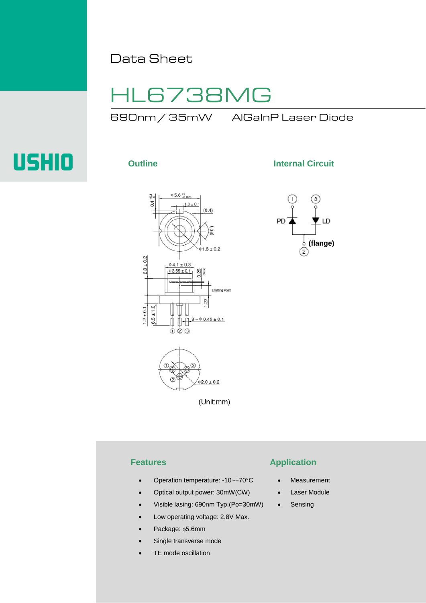# Data Sheet

# HL6738MG

690nm / 35mW AlGaInP Laser Diode

# **USHIO**





**Outline Internal Circuit** 



## **Features Application**

- Operation temperature: -10~+70°C **Measurement**
- Optical output power: 30mW(CW)

(Unit:mm)

- Visible lasing: 690nm Typ.(Po=30mW)
- Low operating voltage: 2.8V Max.
- Package: φ5.6mm
- Single transverse mode
- TE mode oscillation

# Laser Module

• Sensing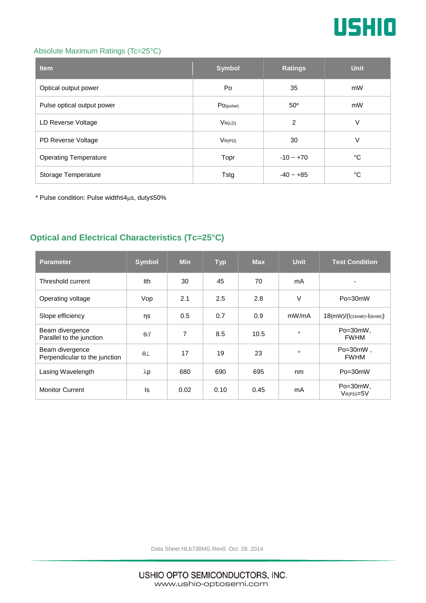

### Absolute Maximum Ratings (Tc=25°C)

| <b>Item</b>                  | <b>Symbol</b> | <b>Ratings</b> | <b>Unit</b> |
|------------------------------|---------------|----------------|-------------|
| Optical output power         | Po            | 35             | mW          |
| Pulse optical output power   | PO(pulse)     | $50*$          | mW          |
| LD Reverse Voltage           | $V_{R(LD)}$   | 2              | V           |
| PD Reverse Voltage           | $V_{R(PD)}$   | 30             | V           |
| <b>Operating Temperature</b> | Topr          | $-10 - +70$    | °C          |
| Storage Temperature          | <b>Tstg</b>   | $-40 - +85$    | °C          |

\* Pulse condition: Pulse width≤4µs, duty≤50%

# **Optical and Electrical Characteristics (Tc=25°C)**

| <b>Parameter</b>                                 | <b>Symbol</b> | <b>Min</b> | <b>Typ</b> | <b>Max</b> | <b>Unit</b> | <b>Test Condition</b>           |
|--------------------------------------------------|---------------|------------|------------|------------|-------------|---------------------------------|
| Threshold current                                | Ith           | 30         | 45         | 70         | mA          |                                 |
| Operating voltage                                | Vop           | 2.1        | 2.5        | 2.8        | $\vee$      | $Po = 30mW$                     |
| Slope efficiency                                 | ηs            | 0.5        | 0.7        | 0.9        | mW/mA       | $18(mW)/((l(24mW) - l(6mW)))$   |
| Beam divergence<br>Parallel to the junction      | $\theta$ //   | 7          | 8.5        | 10.5       | $\circ$     | $Po = 30mW$ ,<br><b>FWHM</b>    |
| Beam divergence<br>Perpendicular to the junction | $\theta\perp$ | 17         | 19         | 23         | $\circ$     | $Po = 30mW$ .<br><b>FWHM</b>    |
| Lasing Wavelength                                | $\lambda p$   | 680        | 690        | 695        | nm          | $Po = 30mW$                     |
| <b>Monitor Current</b>                           | ls            | 0.02       | 0.10       | 0.45       | mA          | $Po = 30mW$ ,<br>$V_{R(PD)=5V}$ |

Data Sheet HL6738MG Rev0. Oct. 28. 2014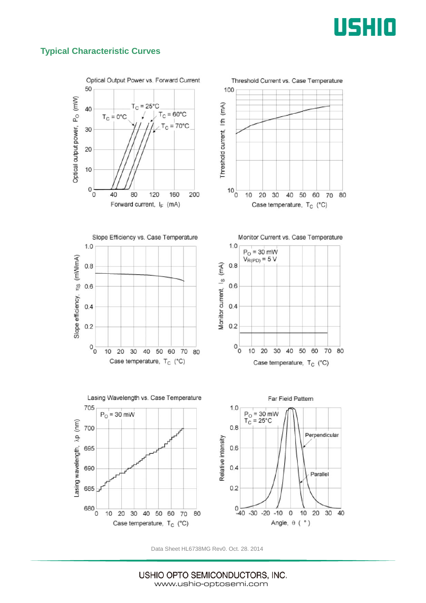

## **Typical Characteristic Curves**





Slope Efficiency vs. Case Temperature  $1.0$ Slope efficiency, ris (mWmA)  $0.8$  $0.6$  $0.4$  $0.2$  $\circ$ <sup>0</sup> 10 20 30 40 50 60 70 80

Case temperature, T<sub>C</sub> (°C)





Data Sheet HL6738MG Rev0. Oct. 28. 2014

USHIO OPTO SEMICONDUCTORS, INC. www.ushio-optosemi.com